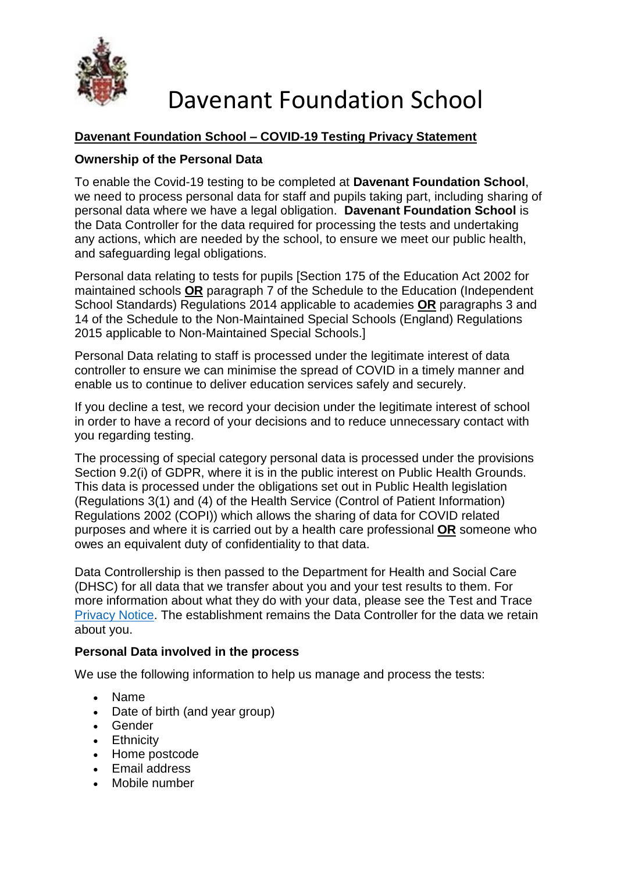

## **Davenant Foundation School – COVID-19 Testing Privacy Statement**

### **Ownership of the Personal Data**

To enable the Covid-19 testing to be completed at **Davenant Foundation School**, we need to process personal data for staff and pupils taking part, including sharing of personal data where we have a legal obligation. **Davenant Foundation School** is the Data Controller for the data required for processing the tests and undertaking any actions, which are needed by the school, to ensure we meet our public health, and safeguarding legal obligations.

Personal data relating to tests for pupils [Section 175 of the Education Act 2002 for maintained schools **OR** paragraph 7 of the Schedule to the Education (Independent School Standards) Regulations 2014 applicable to academies **OR** paragraphs 3 and 14 of the Schedule to the Non-Maintained Special Schools (England) Regulations 2015 applicable to Non-Maintained Special Schools.]

Personal Data relating to staff is processed under the legitimate interest of data controller to ensure we can minimise the spread of COVID in a timely manner and enable us to continue to deliver education services safely and securely.

If you decline a test, we record your decision under the legitimate interest of school in order to have a record of your decisions and to reduce unnecessary contact with you regarding testing.

The processing of special category personal data is processed under the provisions Section 9.2(i) of GDPR, where it is in the public interest on Public Health Grounds. This data is processed under the obligations set out in Public Health legislation (Regulations 3(1) and (4) of the Health Service (Control of Patient Information) Regulations 2002 (COPI)) which allows the sharing of data for COVID related purposes and where it is carried out by a health care professional **OR** someone who owes an equivalent duty of confidentiality to that data.

Data Controllership is then passed to the Department for Health and Social Care (DHSC) for all data that we transfer about you and your test results to them. For more information about what they do with your data, please see the Test and Trace [Privacy Notice.](https://contact-tracing.phe.gov.uk/help/privacy-notice) The establishment remains the Data Controller for the data we retain about you.

#### **Personal Data involved in the process**

We use the following information to help us manage and process the tests:

- Name
- Date of birth (and year group)
- Gender
- Ethnicity
- Home postcode
- Email address
- Mobile number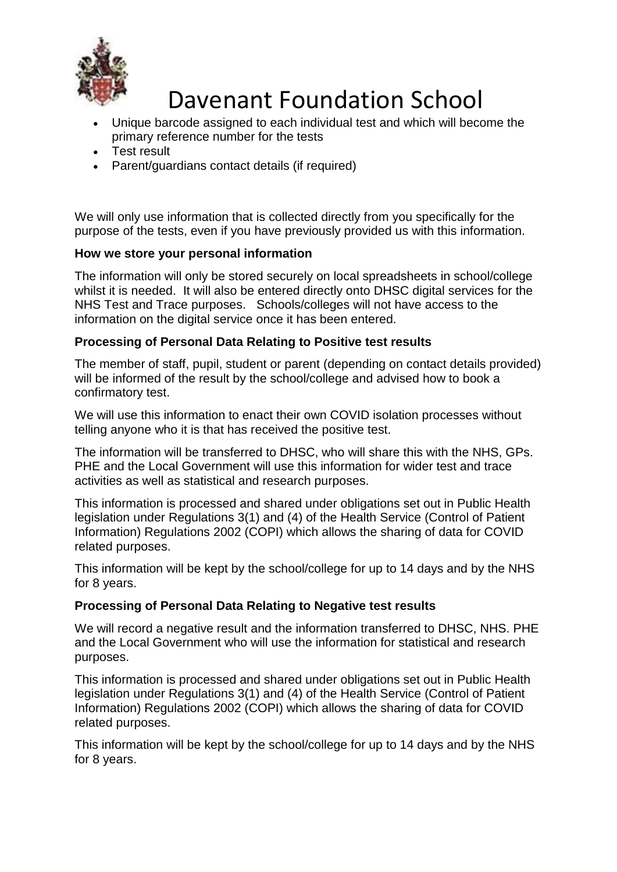

- Unique barcode assigned to each individual test and which will become the primary reference number for the tests
- Test result
- Parent/guardians contact details (if required)

We will only use information that is collected directly from you specifically for the purpose of the tests, even if you have previously provided us with this information.

### **How we store your personal information**

The information will only be stored securely on local spreadsheets in school/college whilst it is needed. It will also be entered directly onto DHSC digital services for the NHS Test and Trace purposes. Schools/colleges will not have access to the information on the digital service once it has been entered.

#### **Processing of Personal Data Relating to Positive test results**

The member of staff, pupil, student or parent (depending on contact details provided) will be informed of the result by the school/college and advised how to book a confirmatory test.

We will use this information to enact their own COVID isolation processes without telling anyone who it is that has received the positive test.

The information will be transferred to DHSC, who will share this with the NHS, GPs. PHE and the Local Government will use this information for wider test and trace activities as well as statistical and research purposes.

This information is processed and shared under obligations set out in Public Health legislation under Regulations 3(1) and (4) of the Health Service (Control of Patient Information) Regulations 2002 (COPI) which allows the sharing of data for COVID related purposes.

This information will be kept by the school/college for up to 14 days and by the NHS for 8 years.

#### **Processing of Personal Data Relating to Negative test results**

We will record a negative result and the information transferred to DHSC, NHS. PHE and the Local Government who will use the information for statistical and research purposes.

This information is processed and shared under obligations set out in Public Health legislation under Regulations 3(1) and (4) of the Health Service (Control of Patient Information) Regulations 2002 (COPI) which allows the sharing of data for COVID related purposes.

This information will be kept by the school/college for up to 14 days and by the NHS for 8 years.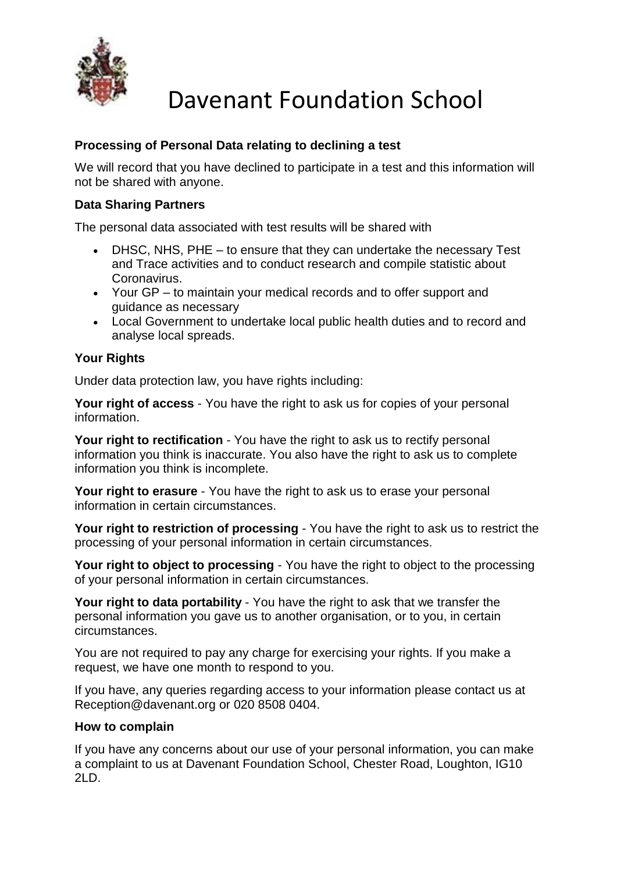

## **Processing of Personal Data relating to declining a test**

We will record that you have declined to participate in a test and this information will not be shared with anyone.

### **Data Sharing Partners**

The personal data associated with test results will be shared with

- DHSC, NHS, PHE to ensure that they can undertake the necessary Test and Trace activities and to conduct research and compile statistic about Coronavirus.
- Your GP to maintain your medical records and to offer support and guidance as necessary
- Local Government to undertake local public health duties and to record and analyse local spreads.

### **Your Rights**

Under data protection law, you have rights including:

**Your right of access** - You have the right to ask us for copies of your personal information.

Your right to rectification - You have the right to ask us to rectify personal information you think is inaccurate. You also have the right to ask us to complete information you think is incomplete.

**Your right to erasure** - You have the right to ask us to erase your personal information in certain circumstances.

**Your right to restriction of processing** - You have the right to ask us to restrict the processing of your personal information in certain circumstances.

Your right to object to processing - You have the right to object to the processing of your personal information in certain circumstances.

**Your right to data portability** - You have the right to ask that we transfer the personal information you gave us to another organisation, or to you, in certain circumstances.

You are not required to pay any charge for exercising your rights. If you make a request, we have one month to respond to you.

If you have, any queries regarding access to your information please contact us at Reception@davenant.org or 020 8508 0404.

#### **How to complain**

If you have any concerns about our use of your personal information, you can make a complaint to us at Davenant Foundation School, Chester Road, Loughton, IG10 2LD.